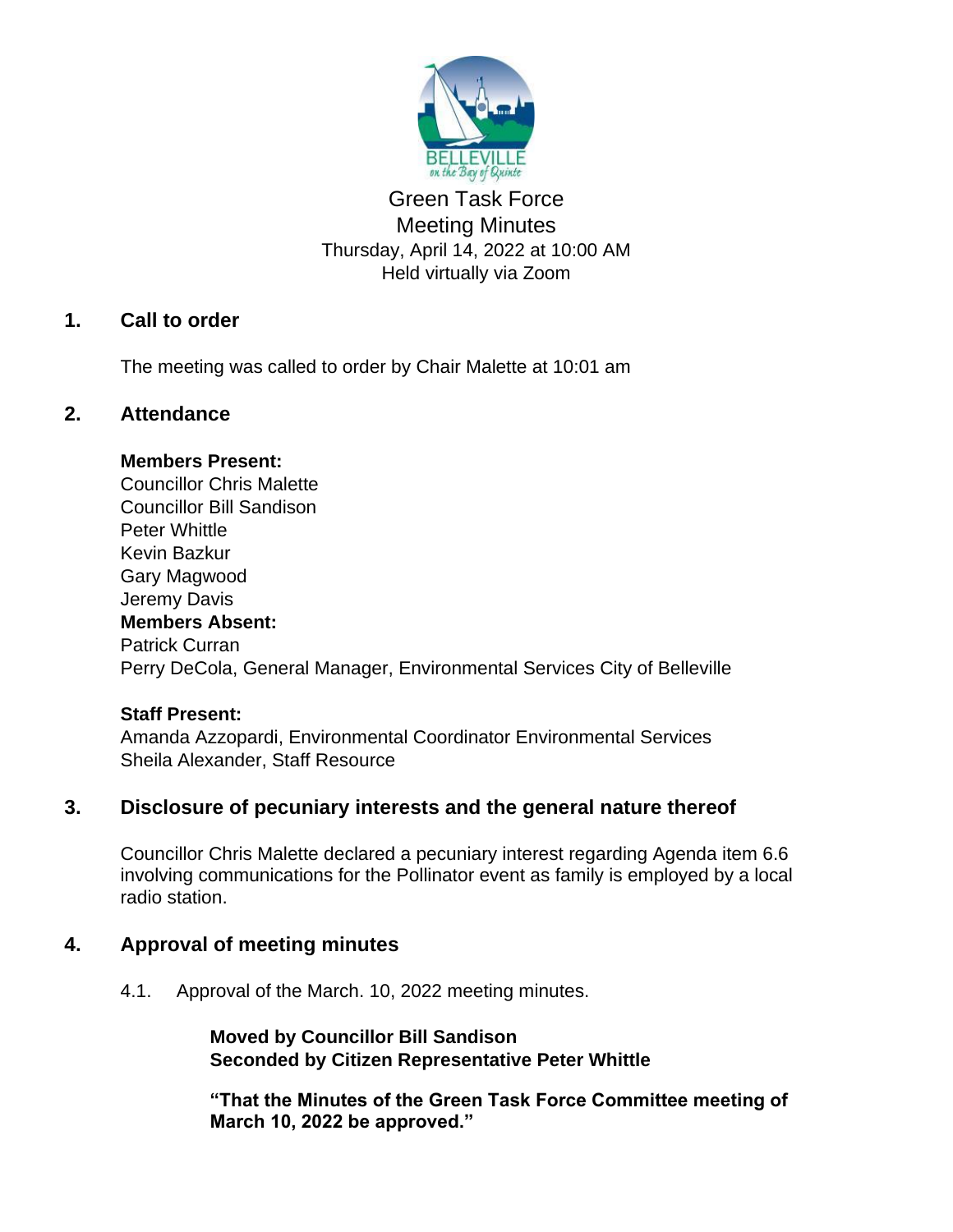

# Green Task Force Meeting Minutes Thursday, April 14, 2022 at 10:00 AM Held virtually via Zoom

## **1. Call to order**

The meeting was called to order by Chair Malette at 10:01 am

#### **2. Attendance**

#### **Members Present:**

Councillor Chris Malette Councillor Bill Sandison Peter Whittle Kevin Bazkur Gary Magwood Jeremy Davis **Members Absent:** Patrick Curran Perry DeCola, General Manager, Environmental Services City of Belleville

#### **Staff Present:**

Amanda Azzopardi, Environmental Coordinator Environmental Services Sheila Alexander, Staff Resource

#### **3. Disclosure of pecuniary interests and the general nature thereof**

Councillor Chris Malette declared a pecuniary interest regarding Agenda item 6.6 involving communications for the Pollinator event as family is employed by a local radio station.

#### **4. Approval of meeting minutes**

4.1. Approval of the March. 10, 2022 meeting minutes.

**Moved by Councillor Bill Sandison Seconded by Citizen Representative Peter Whittle**

**"That the Minutes of the Green Task Force Committee meeting of March 10, 2022 be approved."**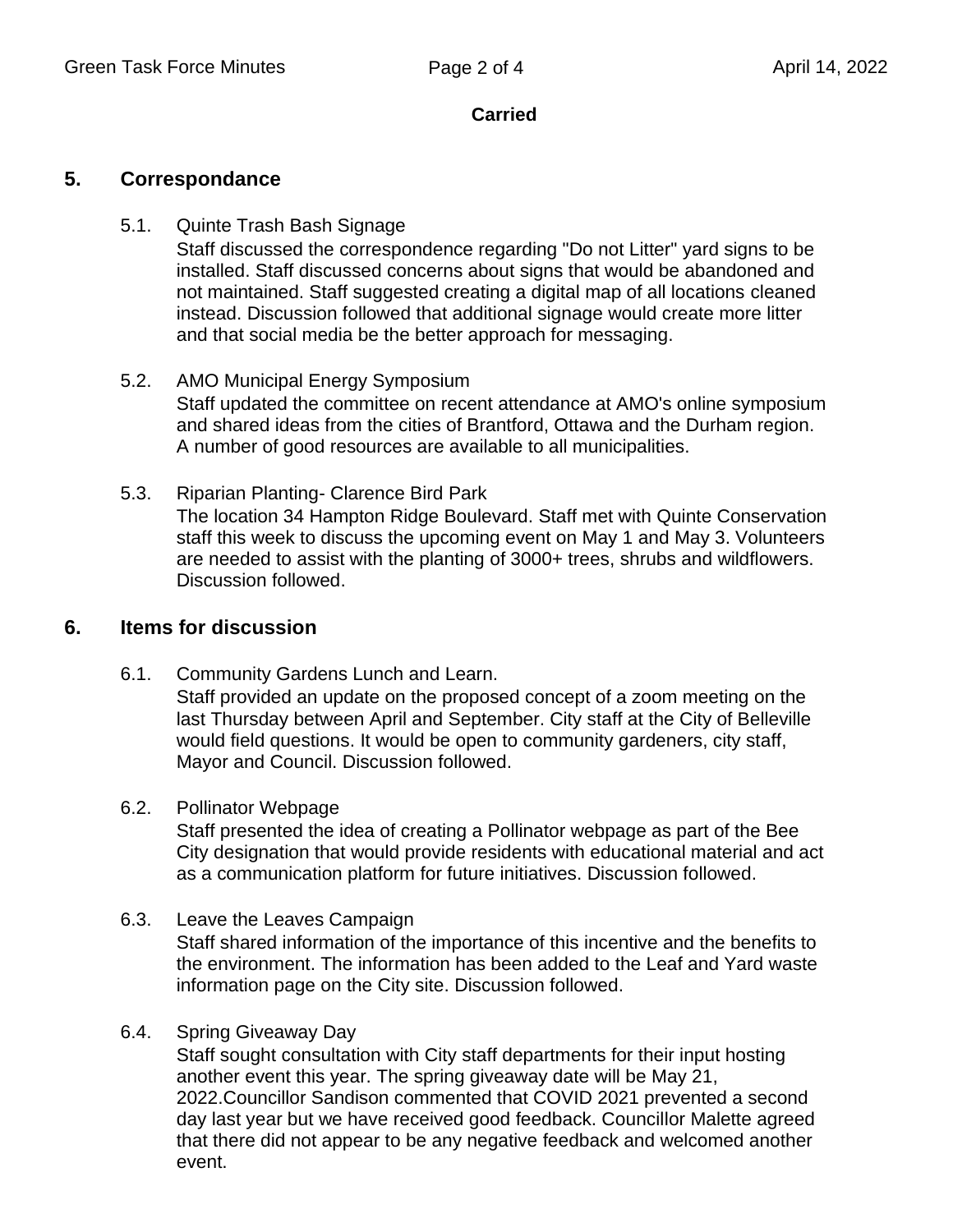## **Carried**

## **5. Correspondance**

- 5.1. Quinte Trash Bash Signage Staff discussed the correspondence regarding "Do not Litter" yard signs to be installed. Staff discussed concerns about signs that would be abandoned and not maintained. Staff suggested creating a digital map of all locations cleaned instead. Discussion followed that additional signage would create more litter and that social media be the better approach for messaging.
- 5.2. AMO Municipal Energy Symposium Staff updated the committee on recent attendance at AMO's online symposium and shared ideas from the cities of Brantford, Ottawa and the Durham region. A number of good resources are available to all municipalities.
- 5.3. Riparian Planting- Clarence Bird Park The location 34 Hampton Ridge Boulevard. Staff met with Quinte Conservation staff this week to discuss the upcoming event on May 1 and May 3. Volunteers are needed to assist with the planting of 3000+ trees, shrubs and wildflowers. Discussion followed.

## **6. Items for discussion**

- 6.1. Community Gardens Lunch and Learn. Staff provided an update on the proposed concept of a zoom meeting on the last Thursday between April and September. City staff at the City of Belleville would field questions. It would be open to community gardeners, city staff, Mayor and Council. Discussion followed.
- 6.2. Pollinator Webpage

Staff presented the idea of creating a Pollinator webpage as part of the Bee City designation that would provide residents with educational material and act as a communication platform for future initiatives. Discussion followed.

6.3. Leave the Leaves Campaign

Staff shared information of the importance of this incentive and the benefits to the environment. The information has been added to the Leaf and Yard waste information page on the City site. Discussion followed.

6.4. Spring Giveaway Day

Staff sought consultation with City staff departments for their input hosting another event this year. The spring giveaway date will be May 21, 2022.Councillor Sandison commented that COVID 2021 prevented a second day last year but we have received good feedback. Councillor Malette agreed that there did not appear to be any negative feedback and welcomed another event.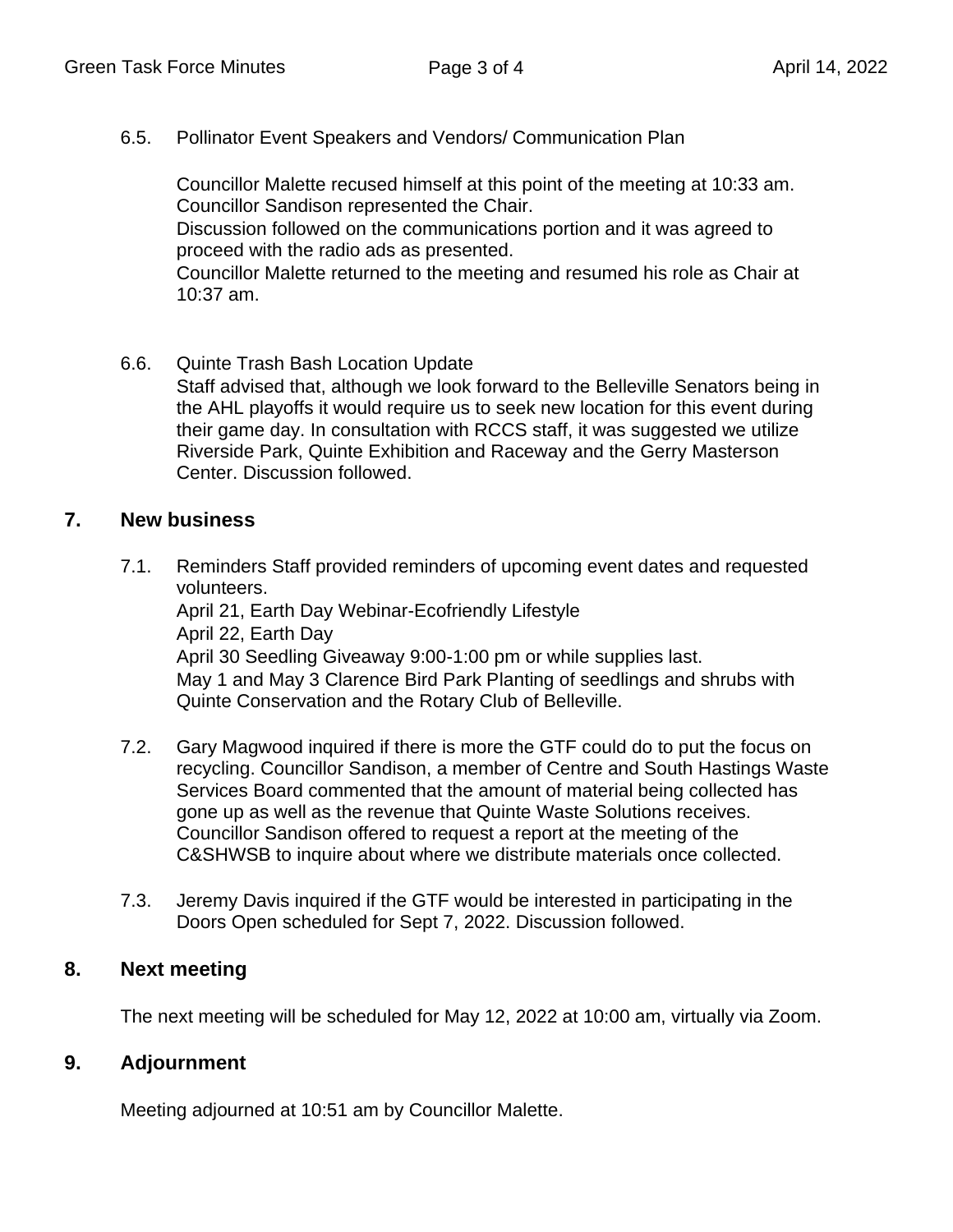6.5. Pollinator Event Speakers and Vendors/ Communication Plan

Councillor Malette recused himself at this point of the meeting at 10:33 am. Councillor Sandison represented the Chair. Discussion followed on the communications portion and it was agreed to proceed with the radio ads as presented. Councillor Malette returned to the meeting and resumed his role as Chair at 10:37 am.

6.6. Quinte Trash Bash Location Update Staff advised that, although we look forward to the Belleville Senators being in the AHL playoffs it would require us to seek new location for this event during their game day. In consultation with RCCS staff, it was suggested we utilize Riverside Park, Quinte Exhibition and Raceway and the Gerry Masterson Center. Discussion followed.

## **7. New business**

- 7.1. Reminders Staff provided reminders of upcoming event dates and requested volunteers. April 21, Earth Day Webinar-Ecofriendly Lifestyle April 22, Earth Day April 30 Seedling Giveaway 9:00-1:00 pm or while supplies last. May 1 and May 3 Clarence Bird Park Planting of seedlings and shrubs with Quinte Conservation and the Rotary Club of Belleville.
- 7.2. Gary Magwood inquired if there is more the GTF could do to put the focus on recycling. Councillor Sandison, a member of Centre and South Hastings Waste Services Board commented that the amount of material being collected has gone up as well as the revenue that Quinte Waste Solutions receives. Councillor Sandison offered to request a report at the meeting of the C&SHWSB to inquire about where we distribute materials once collected.
- 7.3. Jeremy Davis inquired if the GTF would be interested in participating in the Doors Open scheduled for Sept 7, 2022. Discussion followed.

## **8. Next meeting**

The next meeting will be scheduled for May 12, 2022 at 10:00 am, virtually via Zoom.

# **9. Adjournment**

Meeting adjourned at 10:51 am by Councillor Malette.